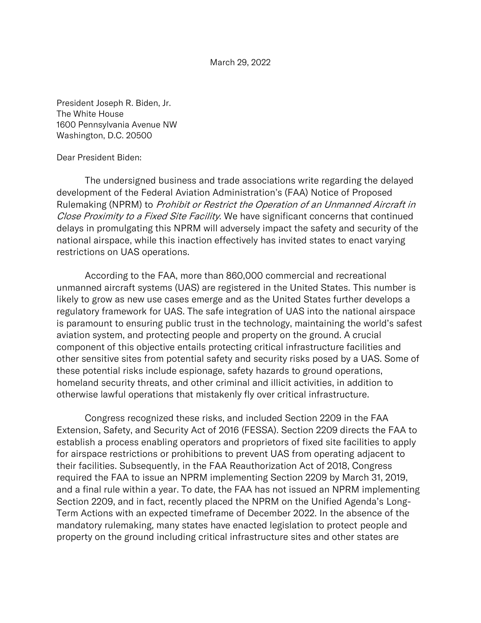March 29, 2022

President Joseph R. Biden, Jr. The White House 1600 Pennsylvania Avenue NW Washington, D.C. 20500

## Dear President Biden:

The undersigned business and trade associations write regarding the delayed development of the Federal Aviation Administration's (FAA) Notice of Proposed Rulemaking (NPRM) to Prohibit or Restrict the Operation of an Unmanned Aircraft in Close Proximity to a Fixed Site Facility. We have significant concerns that continued delays in promulgating this NPRM will adversely impact the safety and security of the national airspace, while this inaction effectively has invited states to enact varying restrictions on UAS operations.

According to the FAA, more than 860,000 commercial and recreational unmanned aircraft systems (UAS) are registered in the United States. This number is likely to grow as new use cases emerge and as the United States further develops a regulatory framework for UAS. The safe integration of UAS into the national airspace is paramount to ensuring public trust in the technology, maintaining the world's safest aviation system, and protecting people and property on the ground. A crucial component of this objective entails protecting critical infrastructure facilities and other sensitive sites from potential safety and security risks posed by a UAS. Some of these potential risks include espionage, safety hazards to ground operations, homeland security threats, and other criminal and illicit activities, in addition to otherwise lawful operations that mistakenly fly over critical infrastructure.

Congress recognized these risks, and included Section 2209 in the FAA Extension, Safety, and Security Act of 2016 (FESSA). Section 2209 directs the FAA to establish a process enabling operators and proprietors of fixed site facilities to apply for airspace restrictions or prohibitions to prevent UAS from operating adjacent to their facilities. Subsequently, in the FAA Reauthorization Act of 2018, Congress required the FAA to issue an NPRM implementing Section 2209 by March 31, 2019, and a final rule within a year. To date, the FAA has not issued an NPRM implementing Section 2209, and in fact, recently placed the NPRM on the Unified Agenda's Long-Term Actions with an expected timeframe of December 2022. In the absence of the mandatory rulemaking, many states have enacted legislation to protect people and property on the ground including critical infrastructure sites and other states are